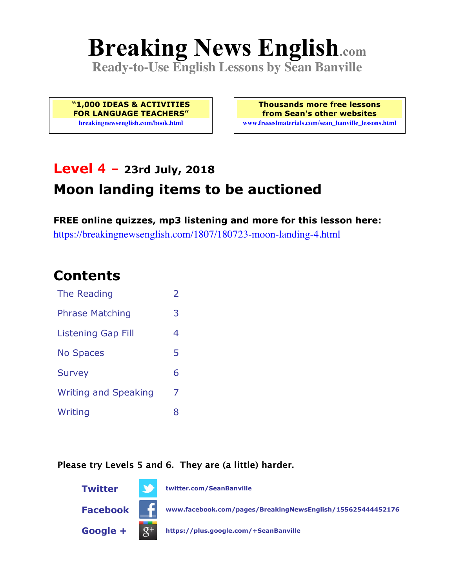# **Breaking News English.com**

**Ready-to-Use English Lessons by Sean Banville**

**"1,000 IDEAS & ACTIVITIES FOR LANGUAGE TEACHERS" breakingnewsenglish.com/book.html**

**Thousands more free lessons from Sean's other websites www.freeeslmaterials.com/sean\_banville\_lessons.html**

# **Level 4 - 23rd July, 2018**

# **Moon landing items to be auctioned**

**FREE online quizzes, mp3 listening and more for this lesson here:** https://breakingnewsenglish.com/1807/180723-moon-landing-4.html

### **Contents**

| The Reading                 | $\overline{\phantom{a}}$ |
|-----------------------------|--------------------------|
| <b>Phrase Matching</b>      | 3                        |
| <b>Listening Gap Fill</b>   | 4                        |
| <b>No Spaces</b>            | 5                        |
| <b>Survey</b>               | 6                        |
| <b>Writing and Speaking</b> | 7                        |
| Writing                     | 8                        |

#### **Please try Levels 5 and 6. They are (a little) harder.**

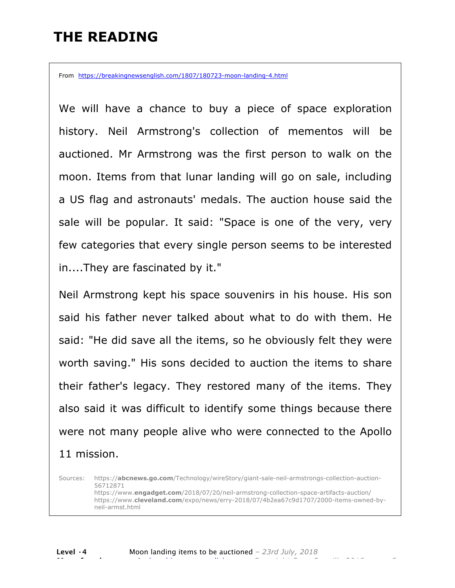### **THE READING**

From https://breakingnewsenglish.com/1807/180723-moon-landing-4.html

We will have a chance to buy a piece of space exploration history. Neil Armstrong's collection of mementos will be auctioned. Mr Armstrong was the first person to walk on the moon. Items from that lunar landing will go on sale, including a US flag and astronauts' medals. The auction house said the sale will be popular. It said: "Space is one of the very, very few categories that every single person seems to be interested in....They are fascinated by it."

Neil Armstrong kept his space souvenirs in his house. His son said his father never talked about what to do with them. He said: "He did save all the items, so he obviously felt they were worth saving." His sons decided to auction the items to share their father's legacy. They restored many of the items. They also said it was difficult to identify some things because there were not many people alive who were connected to the Apollo 11 mission.

Sources: https://**abcnews.go.com**/Technology/wireStory/giant-sale-neil-armstrongs-collection-auction-56712871 https://www.**engadget.com**/2018/07/20/neil-armstrong-collection-space-artifacts-auction/ https://www.**cleveland.com**/expo/news/erry-2018/07/4b2ea67c9d1707/2000-items-owned-byneil-armst.html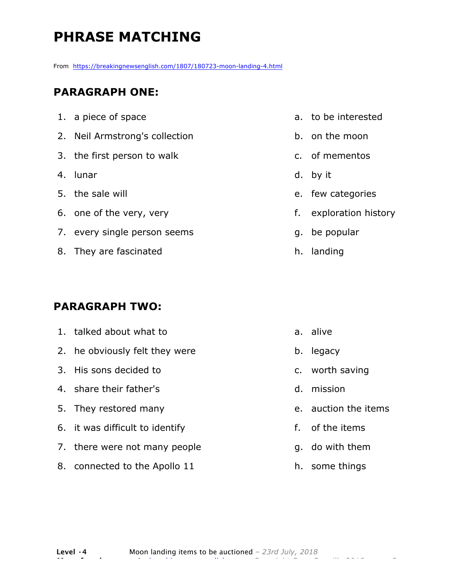# **PHRASE MATCHING**

From https://breakingnewsenglish.com/1807/180723-moon-landing-4.html

#### **PARAGRAPH ONE:**

| 1. a piece of space            |
|--------------------------------|
| 2. Neil Armstrong's collection |
| 3. the first person to walk    |
| 4. lunar                       |
| 5. the sale will               |
| 6. one of the very, very       |
| 7. every single person seems   |
| 8. They are fascinated         |
|                                |

#### **PARAGRAPH TWO:**

| 1. talked about what to         |              | a. alive             |
|---------------------------------|--------------|----------------------|
| 2. he obviously felt they were  | b.           | legacy               |
| 3. His sons decided to          |              | c. worth saving      |
| 4. share their father's         | d.           | mission              |
| 5. They restored many           |              | e. auction the items |
| 6. it was difficult to identify | $f_{\rm{r}}$ | of the items         |
| 7. there were not many people   |              | g. do with them      |
| 8. connected to the Apollo 11   |              | h. some things       |

a. to be interested

b. on the moon

c. of mementos

e. few categories

g. be popular

h. landing

f. exploration history

d. by it

**Level ·4** Moon landing items to be auctioned *– 23rd July, 2018* **More free lessons at** breakingnewsenglish.com - Copyright Sean Banville 2018 3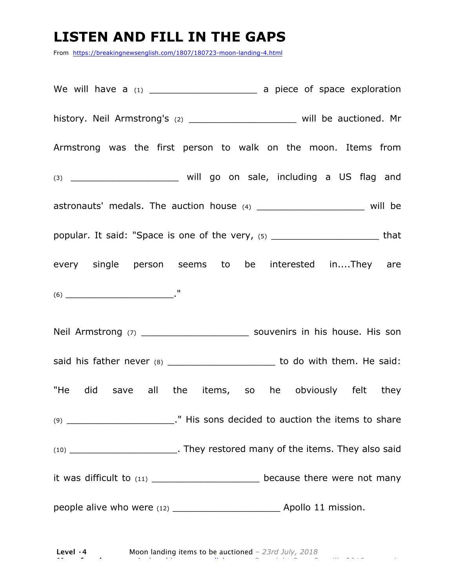### **LISTEN AND FILL IN THE GAPS**

From https://breakingnewsenglish.com/1807/180723-moon-landing-4.html

We will have a (1) \_\_\_\_\_\_\_\_\_\_\_\_\_\_\_\_\_\_\_ a piece of space exploration history. Neil Armstrong's (2) \_\_\_\_\_\_\_\_\_\_\_\_\_\_\_\_\_\_\_\_\_\_\_ will be auctioned. Mr Armstrong was the first person to walk on the moon. Items from (3) \_\_\_\_\_\_\_\_\_\_\_\_\_\_\_\_\_\_\_ will go on sale, including a US flag and astronauts' medals. The auction house (4) \_\_\_\_\_\_\_\_\_\_\_\_\_\_\_\_\_\_\_\_\_\_\_\_ will be popular. It said: "Space is one of the very, (5) \_\_\_\_\_\_\_\_\_\_\_\_\_\_\_\_\_\_\_\_\_\_\_\_\_\_\_\_\_\_that every single person seems to be interested in....They are (6) \_\_\_\_\_\_\_\_\_\_\_\_\_\_\_\_\_\_\_." Neil Armstrong (7) The souvenirs in his house. His son said his father never (8) \_\_\_\_\_\_\_\_\_\_\_\_\_\_\_\_\_\_\_\_\_\_\_ to do with them. He said: "He did save all the items, so he obviously felt they (9) **The Contract External Studies of the items to share** (9) **The interest of the items to share** (10) \_\_\_\_\_\_\_\_\_\_\_\_\_\_\_\_\_\_\_. They restored many of the items. They also said it was difficult to  $(11)$  decause there were not many people alive who were (12) \_\_\_\_\_\_\_\_\_\_\_\_\_\_\_\_\_\_\_ Apollo 11 mission.

**Level ·4** Moon landing items to be auctioned *– 23rd July, 2018* **More free lessons at** breakingnewsenglish.com - Copyright Sean Banville 2018 4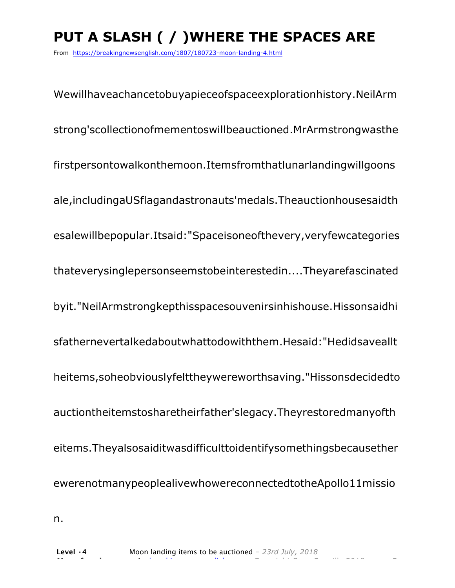# **PUT A SLASH ( / )WHERE THE SPACES ARE**

From https://breakingnewsenglish.com/1807/180723-moon-landing-4.html

Wewillhaveachancetobuyapieceofspaceexplorationhistory.NeilArm strong'scollectionofmementoswillbeauctioned.MrArmstrongwasthe firstpersontowalkonthemoon.Itemsfromthatlunarlandingwillgoons ale,includingaUSflagandastronauts'medals.Theauctionhousesaidth esalewillbepopular.Itsaid:"Spaceisoneofthevery,veryfewcategories thateverysinglepersonseemstobeinterestedin....Theyarefascinated byit."NeilArmstrongkepthisspacesouvenirsinhishouse.Hissonsaidhi sfathernevertalkedaboutwhattodowiththem.Hesaid:"Hedidsaveallt heitems,soheobviouslyfelttheywereworthsaving."Hissonsdecidedto auctiontheitemstosharetheirfather'slegacy.Theyrestoredmanyofth eitems.Theyalsosaiditwasdifficulttoidentifysomethingsbecausether ewerenotmanypeoplealivewhowereconnectedtotheApollo11missio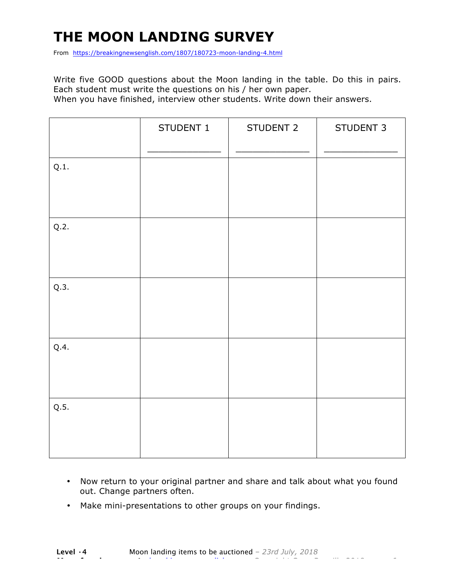# **THE MOON LANDING SURVEY**

From https://breakingnewsenglish.com/1807/180723-moon-landing-4.html

Write five GOOD questions about the Moon landing in the table. Do this in pairs. Each student must write the questions on his / her own paper. When you have finished, interview other students. Write down their answers.

|      | STUDENT 1 | STUDENT 2 | STUDENT 3 |
|------|-----------|-----------|-----------|
| Q.1. |           |           |           |
| Q.2. |           |           |           |
| Q.3. |           |           |           |
| Q.4. |           |           |           |
| Q.5. |           |           |           |

- Now return to your original partner and share and talk about what you found out. Change partners often.
- Make mini-presentations to other groups on your findings.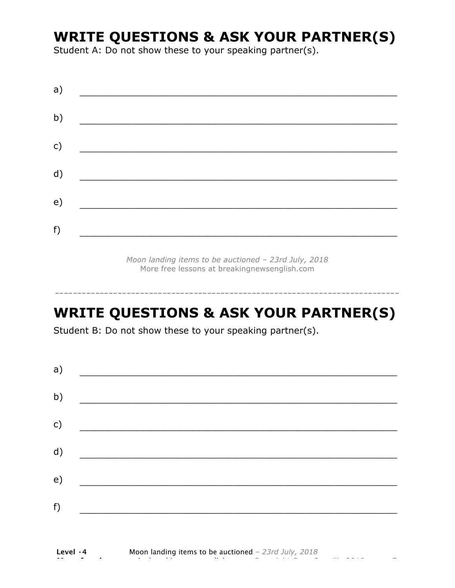### **WRITE QUESTIONS & ASK YOUR PARTNER(S)**

Student A: Do not show these to your speaking partner(s).

| a) |  |  |
|----|--|--|
| b) |  |  |
| c) |  |  |
| d) |  |  |
| e) |  |  |
| f) |  |  |
|    |  |  |

*Moon landing items to be auctioned – 23rd July, 2018* More free lessons at breakingnewsenglish.com

### **WRITE QUESTIONS & ASK YOUR PARTNER(S)**

-----------------------------------------------------------------------------

Student B: Do not show these to your speaking partner(s).

| a) |  |  |
|----|--|--|
| b) |  |  |
| c) |  |  |
| d) |  |  |
| e) |  |  |
| f) |  |  |
|    |  |  |